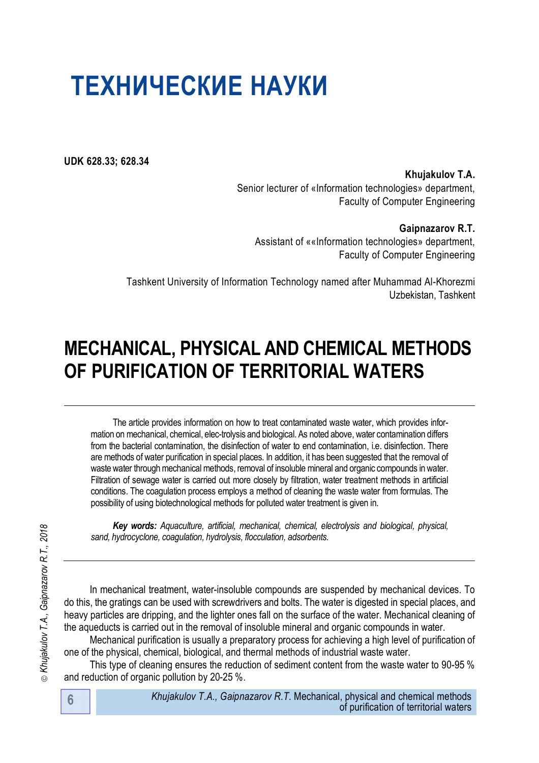**UDK 628.33; 628.34**

**Khujakulov T.A.** Senior lecturer of «Information technologies» department, Faculty of Computer Engineering

**Gaipnazarov R.T.** Assistant of ««Information technologies» department, Faculty of Computer Engineering

Tashkent University of Information Technology named after Muhammad Al-Khorezmi Uzbekistan, Tashkent

# **MECHANICAL, PHYSICAL AND CHEMICAL METHODS OF PURIFICATION OF TERRITORIAL WATERS**

The article provides information on how to treat contaminated waste water, which provides information on mechanical, chemical, elec-trolysis and biological. As noted above, water contamination differs from the bacterial contamination, the disinfection of water to end contamination, i.e. disinfection. There are methods of water purification in special places. In addition, it has been suggested that the removal of waste water through mechanical methods, removal of insoluble mineral and organic compounds in water. Filtration of sewage water is carried out more closely by filtration, water treatment methods in artificial conditions. The coagulation process employs a method of cleaning the waste water from formulas. The possibility of using biotechnological methods for polluted water treatment is given in.

*Key words: Aquaculture, artificial, mechanical, chemical, electrolysis and biological, physical, sand, hydrocyclone, coagulation, hydrolysis, flocculation, adsorbents.* 

In mechanical treatment, water-insoluble compounds are suspended by mechanical devices. To do this, the gratings can be used with screwdrivers and bolts. The water is digested in special places, and heavy particles are dripping, and the lighter ones fall on the surface of the water. Mechanical cleaning of the aqueducts is carried out in the removal of insoluble mineral and organic compounds in water.

Mechanical purification is usually a preparatory process for achieving a high level of purification of one of the physical, chemical, biological, and thermal methods of industrial waste water.

This type of cleaning ensures the reduction of sediment content from the waste water to 90-95 % and reduction of organic pollution by 20-25 %.

⊚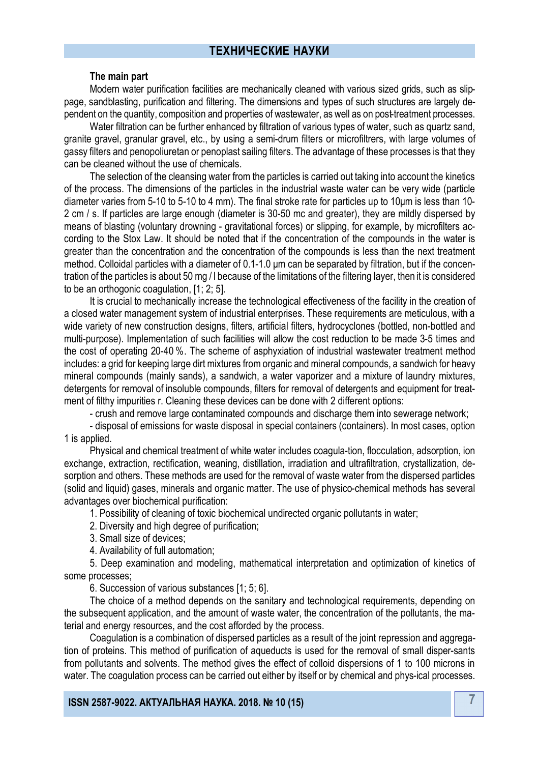#### **The main part**

Modern water purification facilities are mechanically cleaned with various sized grids, such as slippage, sandblasting, purification and filtering. The dimensions and types of such structures are largely dependent on the quantity, composition and properties of wastewater, as well as on post-treatment processes.

Water filtration can be further enhanced by filtration of various types of water, such as quartz sand, granite gravel, granular gravel, etc., by using a semi-drum filters or microfiltrers, with large volumes of gassy filters and penopoliuretan or penoplast sailing filters. The advantage of these processes is that they can be cleaned without the use of chemicals.

The selection of the cleansing water from the particles is carried out taking into account the kinetics of the process. The dimensions of the particles in the industrial waste water can be very wide (particle diameter varies from 5-10 to 5-10 to 4 mm). The final stroke rate for particles up to 10μm is less than 10- 2 cm / s. If particles are large enough (diameter is 30-50 mc and greater), they are mildly dispersed by means of blasting (voluntary drowning - gravitational forces) or slipping, for example, by microfilters according to the Stox Law. It should be noted that if the concentration of the compounds in the water is greater than the concentration and the concentration of the compounds is less than the next treatment method. Colloidal particles with a diameter of 0.1-1.0 μm can be separated by filtration, but if the concentration of the particles is about 50 mg / l because of the limitations of the filtering layer, then it is considered to be an orthogonic coagulation, [1; 2; 5].

It is crucial to mechanically increase the technological effectiveness of the facility in the creation of a closed water management system of industrial enterprises. These requirements are meticulous, with a wide variety of new construction designs, filters, artificial filters, hydrocyclones (bottled, non-bottled and multi-purpose). Implementation of such facilities will allow the cost reduction to be made 3-5 times and the cost of operating 20-40 %. The scheme of asphyxiation of industrial wastewater treatment method includes: a grid for keeping large dirt mixtures from organic and mineral compounds, a sandwich for heavy mineral compounds (mainly sands), a sandwich, a water vaporizer and a mixture of laundry mixtures, detergents for removal of insoluble compounds, filters for removal of detergents and equipment for treatment of filthy impurities r. Cleaning these devices can be done with 2 different options:

- crush and remove large contaminated compounds and discharge them into sewerage network;

- disposal of emissions for waste disposal in special containers (containers). In most cases, option 1 is applied.

Physical and chemical treatment of white water includes coagula-tion, flocculation, adsorption, ion exchange, extraction, rectification, weaning, distillation, irradiation and ultrafiltration, crystallization, desorption and others. These methods are used for the removal of waste water from the dispersed particles (solid and liquid) gases, minerals and organic matter. The use of physico-chemical methods has several advantages over biochemical purification:

1. Possibility of cleaning of toxic biochemical undirected organic pollutants in water;

2. Diversity and high degree of purification;

3. Small size of devices;

4. Availability of full automation;

5. Deep examination and modeling, mathematical interpretation and optimization of kinetics of some processes;

6. Succession of various substances [1; 5; 6].

The choice of a method depends on the sanitary and technological requirements, depending on the subsequent application, and the amount of waste water, the concentration of the pollutants, the material and energy resources, and the cost afforded by the process.

Coagulation is a combination of dispersed particles as a result of the joint repression and aggregation of proteins. This method of purification of aqueducts is used for the removal of small disper-sants from pollutants and solvents. The method gives the effect of colloid dispersions of 1 to 100 microns in water. The coagulation process can be carried out either by itself or by chemical and phys-ical processes.

**7 ISSN 2587-9022. АКТУАЛЬНАЯ НАУКА. 2018. № 10 (15)**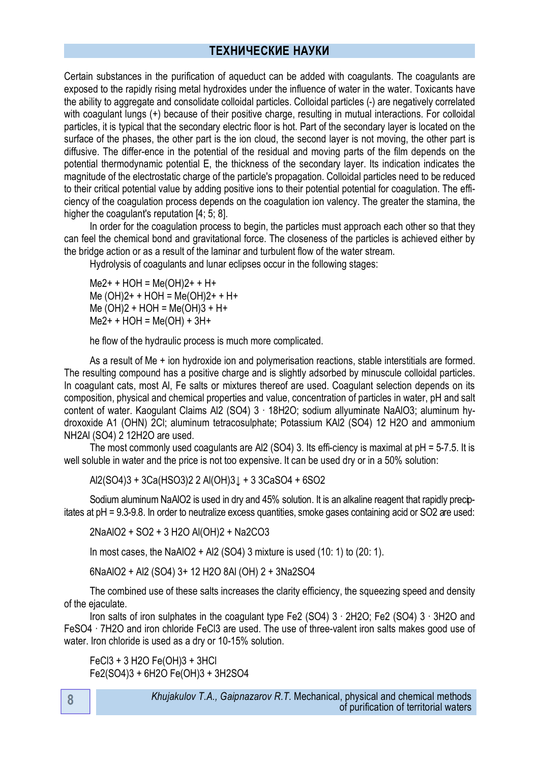Certain substances in the purification of aqueduct can be added with coagulants. The coagulants are exposed to the rapidly rising metal hydroxides under the influence of water in the water. Toxicants have the ability to aggregate and consolidate colloidal particles. Colloidal particles (-) are negatively correlated with coagulant lungs (+) because of their positive charge, resulting in mutual interactions. For colloidal particles, it is typical that the secondary electric floor is hot. Part of the secondary layer is located on the surface of the phases, the other part is the ion cloud, the second layer is not moving, the other part is diffusive. The differ-ence in the potential of the residual and moving parts of the film depends on the potential thermodynamic potential E, the thickness of the secondary layer. Its indication indicates the magnitude of the electrostatic charge of the particle's propagation. Colloidal particles need to be reduced to their critical potential value by adding positive ions to their potential potential for coagulation. The efficiency of the coagulation process depends on the coagulation ion valency. The greater the stamina, the higher the coagulant's reputation [4; 5; 8].

In order for the coagulation process to begin, the particles must approach each other so that they can feel the chemical bond and gravitational force. The closeness of the particles is achieved either by the bridge action or as a result of the laminar and turbulent flow of the water stream.

Hydrolysis of coagulants and lunar eclipses occur in the following stages:

 $Me2+ + HOH = Me(OH)2+ + H+$  $Me (OH)2+ + HOH = Me(OH)2+ + H+$  $Me (OH)2 + HOH = Me(OH)3 + H+$  $Me2+ + HOH = Me(OH) + 3H+$ 

he flow of the hydraulic process is much more complicated.

As a result of Me + ion hydroxide ion and polymerisation reactions, stable interstitials are formed. The resulting compound has a positive charge and is slightly adsorbed by minuscule colloidal particles. In coagulant cats, most Al, Fe salts or mixtures thereof are used. Coagulant selection depends on its composition, physical and chemical properties and value, concentration of particles in water, pH and salt content of water. Kaogulant Claims Al2 (SO4) 3 ∙ 18H2O; sodium allyuminate NaAlO3; aluminum hydroxoxide A1 (OHN) 2Cl; aluminum tetracosulphate; Potassium KAl2 (SO4) 12 H2O and ammonium NH2Al (SO4) 2 12H2O are used.

The most commonly used coagulants are Al2 (SO4) 3. Its effi-ciency is maximal at pH = 5-7.5. It is well soluble in water and the price is not too expensive. It can be used dry or in a 50% solution:

Аl2(SО4)3 + 3Cа(HSО3)2 2 Аl(ОH)3↓ + 3 3CаSО4 + 6SО2

Sodium aluminum NaAlO2 is used in dry and 45% solution. It is an alkaline reagent that rapidly precipitates at pH = 9.3-9.8. In order to neutralize excess quantities, smoke gases containing acid or SO2 are used:

2NaAlO2 + SО2 + 3 H2О Аl(ОH)2 + Na2CO3

In most cases, the NaAIO2 + AI2 (SO4) 3 mixture is used (10: 1) to (20: 1).

6NaAlO2 + Al2 (SO4) 3+ 12 H2O 8Al (OH) 2 + 3Na2SO4

The combined use of these salts increases the clarity efficiency, the squeezing speed and density of the ejaculate.

Iron salts of iron sulphates in the coagulant type Fe2 (SO4) 3 ∙ 2H2O; Fe2 (SO4) 3 ∙ 3H2O and FeSO4 ∙ 7H2O and iron chloride FeCl3 are used. The use of three-valent iron salts makes good use of water. Iron chloride is used as a dry or 10-15% solution.

FeCl3 + 3 H2О Fe(OH)3 + 3HCl Fe2(SO4)3 + 6H2O Fe(OH)3 + 3H2SO4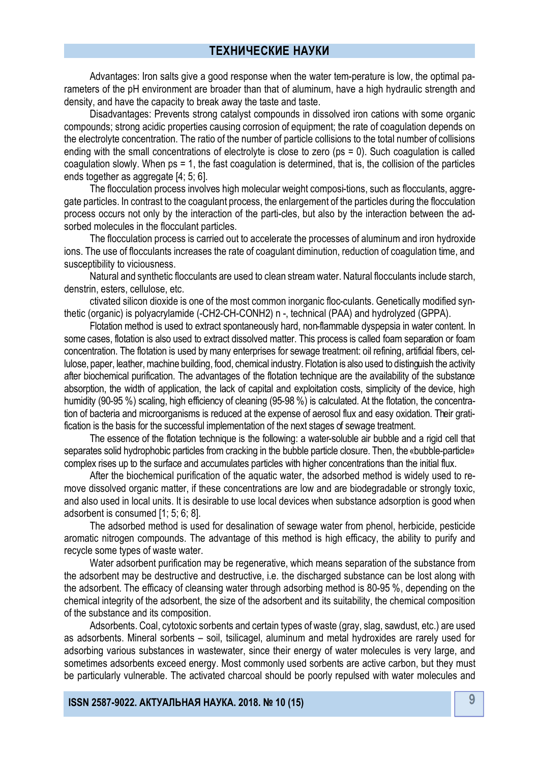Advantages: Iron salts give a good response when the water tem-perature is low, the optimal parameters of the pH environment are broader than that of aluminum, have a high hydraulic strength and density, and have the capacity to break away the taste and taste.

Disadvantages: Prevents strong catalyst compounds in dissolved iron cations with some organic compounds; strong acidic properties causing corrosion of equipment; the rate of coagulation depends on the electrolyte concentration. The ratio of the number of particle collisions to the total number of collisions ending with the small concentrations of electrolyte is close to zero (ps = 0). Such coagulation is called coagulation slowly. When ps = 1, the fast coagulation is determined, that is, the collision of the particles ends together as aggregate [4; 5; 6].

The flocculation process involves high molecular weight composi-tions, such as flocculants, aggregate particles. In contrast to the coagulant process, the enlargement of the particles during the flocculation process occurs not only by the interaction of the parti-cles, but also by the interaction between the adsorbed molecules in the flocculant particles.

The flocculation process is carried out to accelerate the processes of aluminum and iron hydroxide ions. The use of flocculants increases the rate of coagulant diminution, reduction of coagulation time, and susceptibility to viciousness.

Natural and synthetic flocculants are used to clean stream water. Natural flocculants include starch, denstrin, esters, cellulose, etc.

ctivated silicon dioxide is one of the most common inorganic floc-culants. Genetically modified synthetic (organic) is polyacrylamide (-CH2-CH-CONH2) n -, technical (PAA) and hydrolyzed (GPPA).

Flotation method is used to extract spontaneously hard, non-flammable dyspepsia in water content. In some cases, flotation is also used to extract dissolved matter. This process is called foam separation or foam concentration. The flotation is used by many enterprises for sewage treatment: oil refining, artificial fibers, cellulose, paper, leather, machine building, food, chemical industry. Flotation is also used to distinguish the activity after biochemical purification. The advantages of the flotation technique are the availability of the substance absorption, the width of application, the lack of capital and exploitation costs, simplicity of the device, high humidity (90-95 %) scaling, high efficiency of cleaning (95-98 %) is calculated. At the flotation, the concentration of bacteria and microorganisms is reduced at the expense of aerosol flux and easy oxidation. Their gratification is the basis for the successful implementation of the next stages of sewage treatment.

The essence of the flotation technique is the following: a water-soluble air bubble and a rigid cell that separates solid hydrophobic particles from cracking in the bubble particle closure. Then, the «bubble-particle» complex rises up to the surface and accumulates particles with higher concentrations than the initial flux.

After the biochemical purification of the aquatic water, the adsorbed method is widely used to remove dissolved organic matter, if these concentrations are low and are biodegradable or strongly toxic, and also used in local units. It is desirable to use local devices when substance adsorption is good when adsorbent is consumed [1; 5; 6; 8].

The adsorbed method is used for desalination of sewage water from phenol, herbicide, pesticide aromatic nitrogen compounds. The advantage of this method is high efficacy, the ability to purify and recycle some types of waste water.

Water adsorbent purification may be regenerative, which means separation of the substance from the adsorbent may be destructive and destructive, i.e. the discharged substance can be lost along with the adsorbent. The efficacy of cleansing water through adsorbing method is 80-95 %, depending on the chemical integrity of the adsorbent, the size of the adsorbent and its suitability, the chemical composition of the substance and its composition.

Adsorbents. Coal, cytotoxic sorbents and certain types of waste (gray, slag, sawdust, etc.) are used as adsorbents. Mineral sorbents – soil, tsilicagel, aluminum and metal hydroxides are rarely used for adsorbing various substances in wastewater, since their energy of water molecules is very large, and sometimes adsorbents exceed energy. Most commonly used sorbents are active carbon, but they must be particularly vulnerable. The activated charcoal should be poorly repulsed with water molecules and

**9 ISSN 2587-9022. АКТУАЛЬНАЯ НАУКА. 2018. № 10 (15)**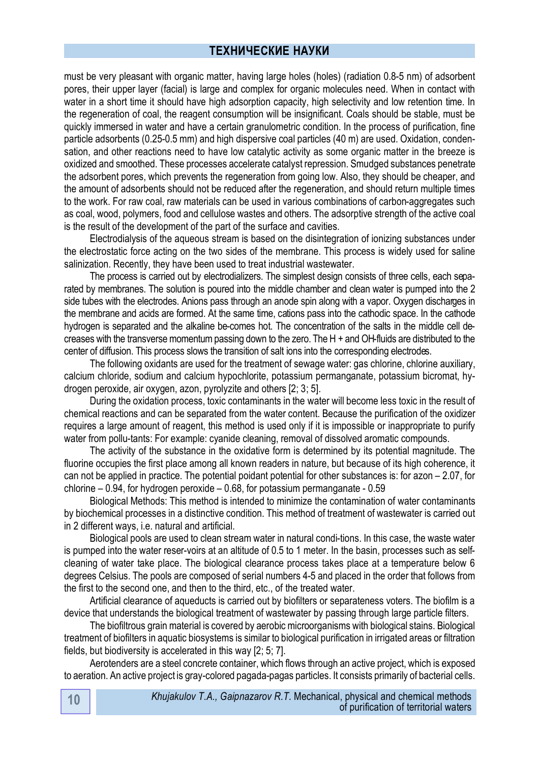must be very pleasant with organic matter, having large holes (holes) (radiation 0.8-5 nm) of adsorbent pores, their upper layer (facial) is large and complex for organic molecules need. When in contact with water in a short time it should have high adsorption capacity, high selectivity and low retention time. In the regeneration of coal, the reagent consumption will be insignificant. Coals should be stable, must be quickly immersed in water and have a certain granulometric condition. In the process of purification, fine particle adsorbents (0.25-0.5 mm) and high dispersive coal particles (40 m) are used. Oxidation, condensation, and other reactions need to have low catalytic activity as some organic matter in the breeze is oxidized and smoothed. These processes accelerate catalyst repression. Smudged substances penetrate the adsorbent pores, which prevents the regeneration from going low. Also, they should be cheaper, and the amount of adsorbents should not be reduced after the regeneration, and should return multiple times to the work. For raw coal, raw materials can be used in various combinations of carbon-aggregates such as coal, wood, polymers, food and cellulose wastes and others. The adsorptive strength of the active coal is the result of the development of the part of the surface and cavities.

Electrodialysis of the aqueous stream is based on the disintegration of ionizing substances under the electrostatic force acting on the two sides of the membrane. This process is widely used for saline salinization. Recently, they have been used to treat industrial wastewater.

The process is carried out by electrodializers. The simplest design consists of three cells, each separated by membranes. The solution is poured into the middle chamber and clean water is pumped into the 2 side tubes with the electrodes. Anions pass through an anode spin along with a vapor. Oxygen discharges in the membrane and acids are formed. At the same time, cations pass into the cathodic space. In the cathode hydrogen is separated and the alkaline be-comes hot. The concentration of the salts in the middle cell decreases with the transverse momentum passing down to the zero. The H + and OH-fluids are distributed to the center of diffusion. This process slows the transition of salt ions into the corresponding electrodes.

The following oxidants are used for the treatment of sewage water: gas chlorine, chlorine auxiliary, calcium chloride, sodium and calcium hypochlorite, potassium permanganate, potassium bicromat, hydrogen peroxide, air oxygen, azon, pyrolyzite and others [2; 3; 5].

During the oxidation process, toxic contaminants in the water will become less toxic in the result of chemical reactions and can be separated from the water content. Because the purification of the oxidizer requires a large amount of reagent, this method is used only if it is impossible or inappropriate to purify water from pollu-tants: For example: cyanide cleaning, removal of dissolved aromatic compounds.

The activity of the substance in the oxidative form is determined by its potential magnitude. The fluorine occupies the first place among all known readers in nature, but because of its high coherence, it can not be applied in practice. The potential poidant potential for other substances is: for azon – 2.07, for chlorine – 0.94, for hydrogen peroxide – 0.68, for potassium permanganate - 0.59

Biological Methods: This method is intended to minimize the contamination of water contaminants by biochemical processes in a distinctive condition. This method of treatment of wastewater is carried out in 2 different ways, i.e. natural and artificial.

Biological pools are used to clean stream water in natural condi-tions. In this case, the waste water is pumped into the water reser-voirs at an altitude of 0.5 to 1 meter. In the basin, processes such as selfcleaning of water take place. The biological clearance process takes place at a temperature below 6 degrees Celsius. The pools are composed of serial numbers 4-5 and placed in the order that follows from the first to the second one, and then to the third, etc., of the treated water.

Artificial clearance of aqueducts is carried out by biofilters or separateness voters. The biofilm is a device that understands the biological treatment of wastewater by passing through large particle filters.

The biofiltrous grain material is covered by aerobic microorganisms with biological stains. Biological treatment of biofilters in aquatic biosystems is similar to biological purification in irrigated areas or filtration fields, but biodiversity is accelerated in this way [2; 5; 7].

Aerotenders are a steel concrete container, which flows through an active project, which is exposed to aeration. An active project is gray-colored pagada-pagas particles. It consists primarily of bacterial cells.